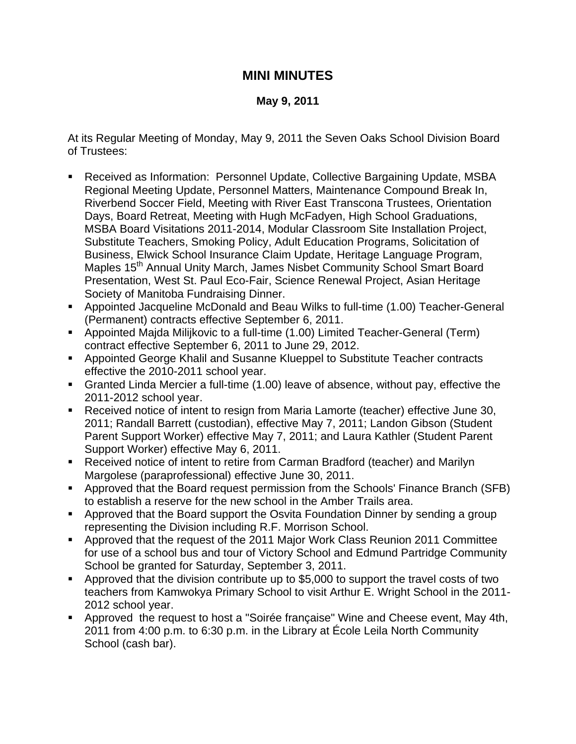## **MINI MINUTES**

## **May 9, 2011**

At its Regular Meeting of Monday, May 9, 2011 the Seven Oaks School Division Board of Trustees:

- Received as Information: Personnel Update, Collective Bargaining Update, MSBA Regional Meeting Update, Personnel Matters, Maintenance Compound Break In, Riverbend Soccer Field, Meeting with River East Transcona Trustees, Orientation Days, Board Retreat, Meeting with Hugh McFadyen, High School Graduations, MSBA Board Visitations 2011-2014, Modular Classroom Site Installation Project, Substitute Teachers, Smoking Policy, Adult Education Programs, Solicitation of Business, Elwick School Insurance Claim Update, Heritage Language Program, Maples 15<sup>th</sup> Annual Unity March, James Nisbet Community School Smart Board Presentation, West St. Paul Eco-Fair, Science Renewal Project, Asian Heritage Society of Manitoba Fundraising Dinner.
- Appointed Jacqueline McDonald and Beau Wilks to full-time (1.00) Teacher-General (Permanent) contracts effective September 6, 2011.
- Appointed Majda Milijkovic to a full-time (1.00) Limited Teacher-General (Term) contract effective September 6, 2011 to June 29, 2012.
- Appointed George Khalil and Susanne Klueppel to Substitute Teacher contracts effective the 2010-2011 school year.
- Granted Linda Mercier a full-time (1.00) leave of absence, without pay, effective the 2011-2012 school year.
- Received notice of intent to resign from Maria Lamorte (teacher) effective June 30, 2011; Randall Barrett (custodian), effective May 7, 2011; Landon Gibson (Student Parent Support Worker) effective May 7, 2011; and Laura Kathler (Student Parent Support Worker) effective May 6, 2011.
- Received notice of intent to retire from Carman Bradford (teacher) and Marilyn Margolese (paraprofessional) effective June 30, 2011.
- Approved that the Board request permission from the Schools' Finance Branch (SFB) to establish a reserve for the new school in the Amber Trails area.
- Approved that the Board support the Osvita Foundation Dinner by sending a group representing the Division including R.F. Morrison School.
- Approved that the request of the 2011 Major Work Class Reunion 2011 Committee for use of a school bus and tour of Victory School and Edmund Partridge Community School be granted for Saturday, September 3, 2011.
- Approved that the division contribute up to \$5,000 to support the travel costs of two teachers from Kamwokya Primary School to visit Arthur E. Wright School in the 2011- 2012 school year.
- Approved the request to host a "Soirée française" Wine and Cheese event, May 4th, 2011 from 4:00 p.m. to 6:30 p.m. in the Library at École Leila North Community School (cash bar).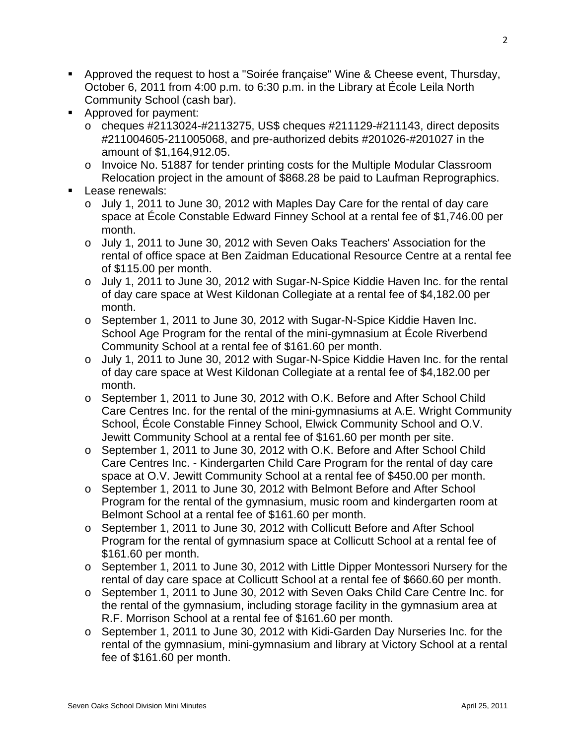- Approved the request to host a "Soirée française" Wine & Cheese event, Thursday, October 6, 2011 from 4:00 p.m. to 6:30 p.m. in the Library at École Leila North Community School (cash bar).
- **Approved for payment:** 
	- $\circ$  cheques #2113024-#2113275, US\$ cheques #211129-#211143, direct deposits #211004605-211005068, and pre-authorized debits #201026-#201027 in the amount of \$1,164,912.05.
	- o Invoice No. 51887 for tender printing costs for the Multiple Modular Classroom Relocation project in the amount of \$868.28 be paid to Laufman Reprographics.
- **Lease renewals:** 
	- o July 1, 2011 to June 30, 2012 with Maples Day Care for the rental of day care space at École Constable Edward Finney School at a rental fee of \$1,746.00 per month.
	- o July 1, 2011 to June 30, 2012 with Seven Oaks Teachers' Association for the rental of office space at Ben Zaidman Educational Resource Centre at a rental fee of \$115.00 per month.
	- o July 1, 2011 to June 30, 2012 with Sugar-N-Spice Kiddie Haven Inc. for the rental of day care space at West Kildonan Collegiate at a rental fee of \$4,182.00 per month.
	- o September 1, 2011 to June 30, 2012 with Sugar-N-Spice Kiddie Haven Inc. School Age Program for the rental of the mini-gymnasium at École Riverbend Community School at a rental fee of \$161.60 per month.
	- o July 1, 2011 to June 30, 2012 with Sugar-N-Spice Kiddie Haven Inc. for the rental of day care space at West Kildonan Collegiate at a rental fee of \$4,182.00 per month.
	- o September 1, 2011 to June 30, 2012 with O.K. Before and After School Child Care Centres Inc. for the rental of the mini-gymnasiums at A.E. Wright Community School, École Constable Finney School, Elwick Community School and O.V. Jewitt Community School at a rental fee of \$161.60 per month per site.
	- o September 1, 2011 to June 30, 2012 with O.K. Before and After School Child Care Centres Inc. - Kindergarten Child Care Program for the rental of day care space at O.V. Jewitt Community School at a rental fee of \$450.00 per month.
	- o September 1, 2011 to June 30, 2012 with Belmont Before and After School Program for the rental of the gymnasium, music room and kindergarten room at Belmont School at a rental fee of \$161.60 per month.
	- o September 1, 2011 to June 30, 2012 with Collicutt Before and After School Program for the rental of gymnasium space at Collicutt School at a rental fee of \$161.60 per month.
	- o September 1, 2011 to June 30, 2012 with Little Dipper Montessori Nursery for the rental of day care space at Collicutt School at a rental fee of \$660.60 per month.
	- o September 1, 2011 to June 30, 2012 with Seven Oaks Child Care Centre Inc. for the rental of the gymnasium, including storage facility in the gymnasium area at R.F. Morrison School at a rental fee of \$161.60 per month.
	- o September 1, 2011 to June 30, 2012 with Kidi-Garden Day Nurseries Inc. for the rental of the gymnasium, mini-gymnasium and library at Victory School at a rental fee of \$161.60 per month.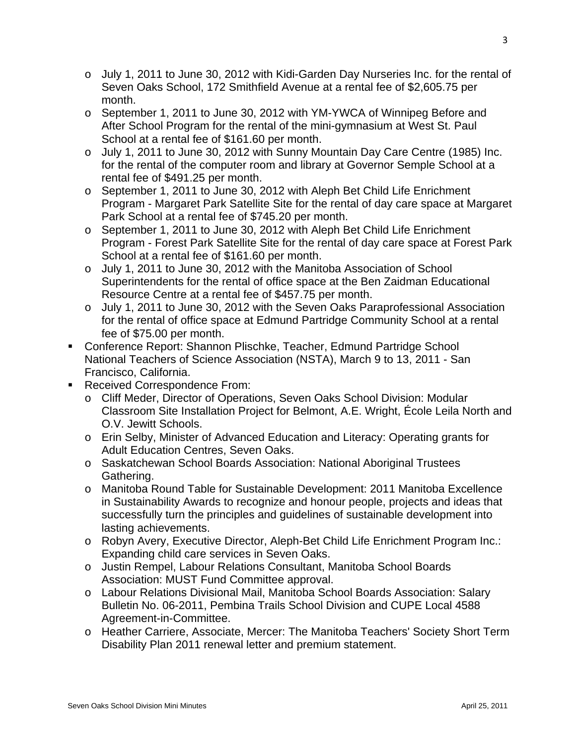- o July 1, 2011 to June 30, 2012 with Kidi-Garden Day Nurseries Inc. for the rental of Seven Oaks School, 172 Smithfield Avenue at a rental fee of \$2,605.75 per month.
- o September 1, 2011 to June 30, 2012 with YM-YWCA of Winnipeg Before and After School Program for the rental of the mini-gymnasium at West St. Paul School at a rental fee of \$161.60 per month.
- o July 1, 2011 to June 30, 2012 with Sunny Mountain Day Care Centre (1985) Inc. for the rental of the computer room and library at Governor Semple School at a rental fee of \$491.25 per month.
- o September 1, 2011 to June 30, 2012 with Aleph Bet Child Life Enrichment Program - Margaret Park Satellite Site for the rental of day care space at Margaret Park School at a rental fee of \$745.20 per month.
- o September 1, 2011 to June 30, 2012 with Aleph Bet Child Life Enrichment Program - Forest Park Satellite Site for the rental of day care space at Forest Park School at a rental fee of \$161.60 per month.
- o July 1, 2011 to June 30, 2012 with the Manitoba Association of School Superintendents for the rental of office space at the Ben Zaidman Educational Resource Centre at a rental fee of \$457.75 per month.
- o July 1, 2011 to June 30, 2012 with the Seven Oaks Paraprofessional Association for the rental of office space at Edmund Partridge Community School at a rental fee of \$75.00 per month.
- Conference Report: Shannon Plischke, Teacher, Edmund Partridge School National Teachers of Science Association (NSTA), March 9 to 13, 2011 - San Francisco, California.
- Received Correspondence From:
	- o Cliff Meder, Director of Operations, Seven Oaks School Division: Modular Classroom Site Installation Project for Belmont, A.E. Wright, École Leila North and O.V. Jewitt Schools.
	- o Erin Selby, Minister of Advanced Education and Literacy: Operating grants for Adult Education Centres, Seven Oaks.
	- o Saskatchewan School Boards Association: National Aboriginal Trustees Gathering.
	- o Manitoba Round Table for Sustainable Development: 2011 Manitoba Excellence in Sustainability Awards to recognize and honour people, projects and ideas that successfully turn the principles and guidelines of sustainable development into lasting achievements.
	- o Robyn Avery, Executive Director, Aleph-Bet Child Life Enrichment Program Inc.: Expanding child care services in Seven Oaks.
	- o Justin Rempel, Labour Relations Consultant, Manitoba School Boards Association: MUST Fund Committee approval.
	- o Labour Relations Divisional Mail, Manitoba School Boards Association: Salary Bulletin No. 06-2011, Pembina Trails School Division and CUPE Local 4588 Agreement-in-Committee.
	- o Heather Carriere, Associate, Mercer: The Manitoba Teachers' Society Short Term Disability Plan 2011 renewal letter and premium statement.